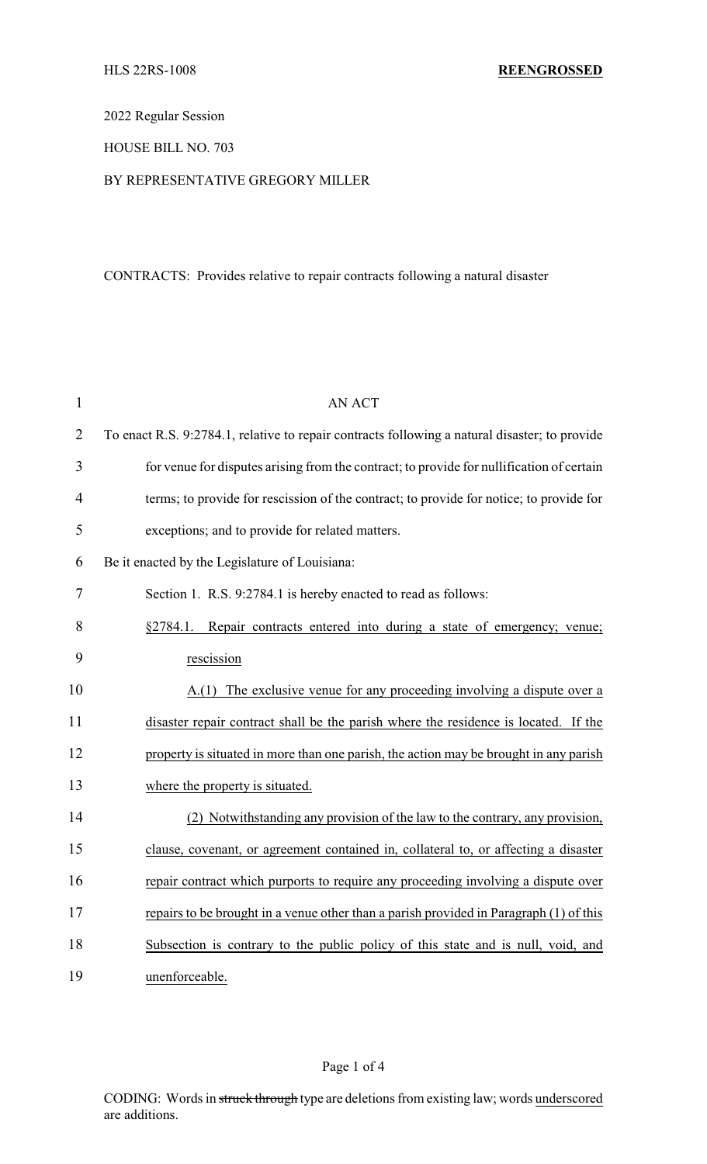2022 Regular Session

HOUSE BILL NO. 703

## BY REPRESENTATIVE GREGORY MILLER

## CONTRACTS: Provides relative to repair contracts following a natural disaster

| $\mathbf{1}$   | <b>AN ACT</b>                                                                                 |
|----------------|-----------------------------------------------------------------------------------------------|
| $\overline{2}$ | To enact R.S. 9:2784.1, relative to repair contracts following a natural disaster; to provide |
| 3              | for venue for disputes arising from the contract; to provide for nullification of certain     |
| $\overline{4}$ | terms; to provide for rescission of the contract; to provide for notice; to provide for       |
| 5              | exceptions; and to provide for related matters.                                               |
| 6              | Be it enacted by the Legislature of Louisiana:                                                |
| 7              | Section 1. R.S. 9:2784.1 is hereby enacted to read as follows:                                |
| 8              | §2784.1. Repair contracts entered into during a state of emergency; venue;                    |
| 9              | rescission                                                                                    |
| 10             | A.(1) The exclusive venue for any proceeding involving a dispute over a                       |
| 11             | disaster repair contract shall be the parish where the residence is located. If the           |
| 12             | property is situated in more than one parish, the action may be brought in any parish         |
| 13             | where the property is situated.                                                               |
| 14             | (2) Notwithstanding any provision of the law to the contrary, any provision,                  |
| 15             | clause, covenant, or agreement contained in, collateral to, or affecting a disaster           |
| 16             | repair contract which purports to require any proceeding involving a dispute over             |
| 17             | repairs to be brought in a venue other than a parish provided in Paragraph (1) of this        |
| 18             | Subsection is contrary to the public policy of this state and is null, void, and              |
| 19             | unenforceable.                                                                                |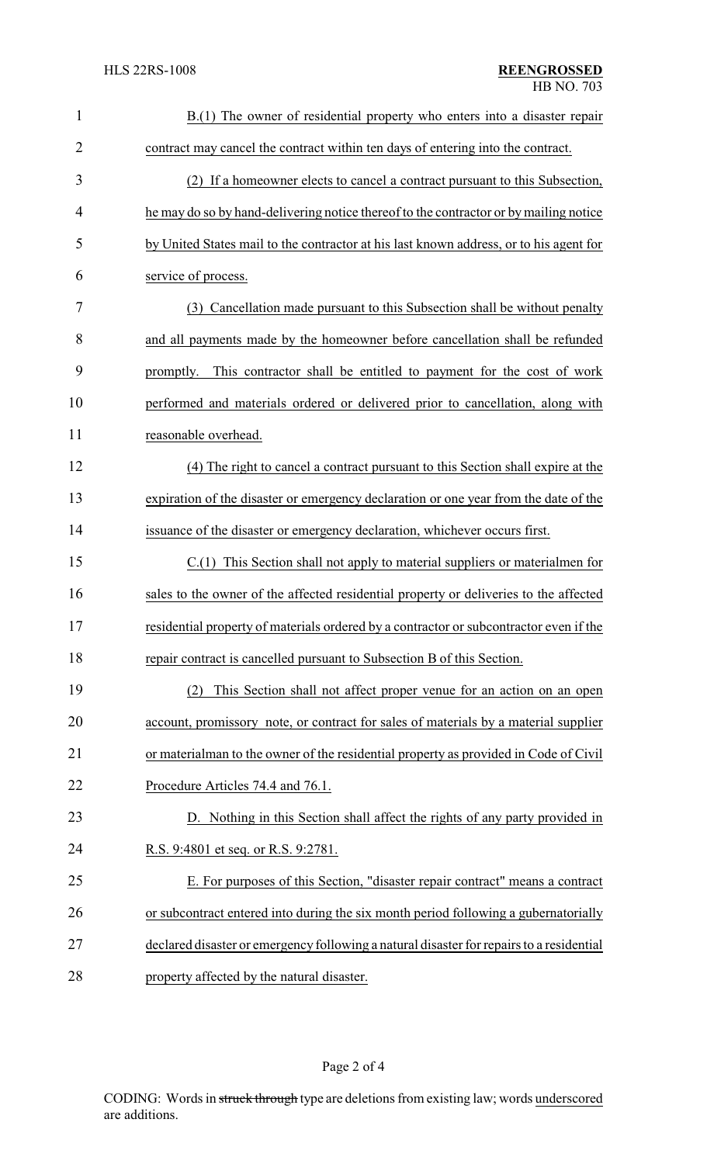| $\mathbf{1}$   | B.(1) The owner of residential property who enters into a disaster repair                |
|----------------|------------------------------------------------------------------------------------------|
| $\overline{2}$ | contract may cancel the contract within ten days of entering into the contract.          |
| 3              | (2) If a homeowner elects to cancel a contract pursuant to this Subsection,              |
| 4              | he may do so by hand-delivering notice thereof to the contractor or by mailing notice    |
| 5              | by United States mail to the contractor at his last known address, or to his agent for   |
| 6              | service of process.                                                                      |
| 7              | (3) Cancellation made pursuant to this Subsection shall be without penalty               |
| 8              | and all payments made by the homeowner before cancellation shall be refunded             |
| 9              | promptly. This contractor shall be entitled to payment for the cost of work              |
| 10             | performed and materials ordered or delivered prior to cancellation, along with           |
| 11             | reasonable overhead.                                                                     |
| 12             | (4) The right to cancel a contract pursuant to this Section shall expire at the          |
| 13             | expiration of the disaster or emergency declaration or one year from the date of the     |
| 14             | issuance of the disaster or emergency declaration, whichever occurs first.               |
| 15             | C.(1) This Section shall not apply to material suppliers or materialmen for              |
| 16             | sales to the owner of the affected residential property or deliveries to the affected    |
| 17             | residential property of materials ordered by a contractor or subcontractor even if the   |
| 18             | repair contract is cancelled pursuant to Subsection B of this Section.                   |
| 19             | This Section shall not affect proper venue for an action on an open<br>(2)               |
| 20             | account, promissory note, or contract for sales of materials by a material supplier      |
| 21             | or materialman to the owner of the residential property as provided in Code of Civil     |
| 22             | Procedure Articles 74.4 and 76.1.                                                        |
| 23             | D. Nothing in this Section shall affect the rights of any party provided in              |
| 24             | R.S. 9:4801 et seq. or R.S. 9:2781.                                                      |
| 25             | E. For purposes of this Section, "disaster repair contract" means a contract             |
| 26             | or subcontract entered into during the six month period following a gubernatorially      |
| 27             | declared disaster or emergency following a natural disaster for repairs to a residential |
| 28             | property affected by the natural disaster.                                               |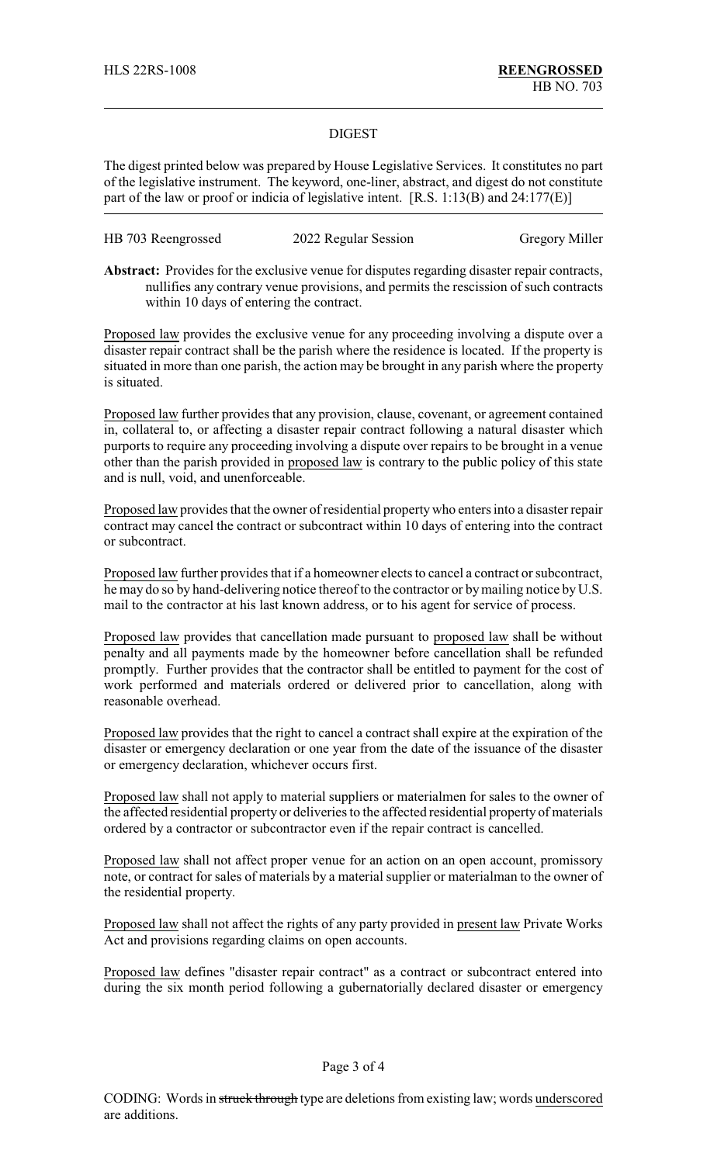## DIGEST

The digest printed below was prepared by House Legislative Services. It constitutes no part of the legislative instrument. The keyword, one-liner, abstract, and digest do not constitute part of the law or proof or indicia of legislative intent. [R.S. 1:13(B) and 24:177(E)]

| HB 703 Reengrossed | 2022 Regular Session | <b>Gregory Miller</b> |
|--------------------|----------------------|-----------------------|
|--------------------|----------------------|-----------------------|

**Abstract:** Provides for the exclusive venue for disputes regarding disaster repair contracts, nullifies any contrary venue provisions, and permits the rescission of such contracts within 10 days of entering the contract.

Proposed law provides the exclusive venue for any proceeding involving a dispute over a disaster repair contract shall be the parish where the residence is located. If the property is situated in more than one parish, the action may be brought in any parish where the property is situated.

Proposed law further provides that any provision, clause, covenant, or agreement contained in, collateral to, or affecting a disaster repair contract following a natural disaster which purports to require any proceeding involving a dispute over repairs to be brought in a venue other than the parish provided in proposed law is contrary to the public policy of this state and is null, void, and unenforceable.

Proposed law provides that the owner of residential propertywho enters into a disaster repair contract may cancel the contract or subcontract within 10 days of entering into the contract or subcontract.

Proposed law further provides that if a homeowner elects to cancel a contract or subcontract, he may do so by hand-delivering notice thereof to the contractor or bymailing notice by U.S. mail to the contractor at his last known address, or to his agent for service of process.

Proposed law provides that cancellation made pursuant to proposed law shall be without penalty and all payments made by the homeowner before cancellation shall be refunded promptly. Further provides that the contractor shall be entitled to payment for the cost of work performed and materials ordered or delivered prior to cancellation, along with reasonable overhead.

Proposed law provides that the right to cancel a contract shall expire at the expiration of the disaster or emergency declaration or one year from the date of the issuance of the disaster or emergency declaration, whichever occurs first.

Proposed law shall not apply to material suppliers or materialmen for sales to the owner of the affected residential property or deliveries to the affected residential property of materials ordered by a contractor or subcontractor even if the repair contract is cancelled.

Proposed law shall not affect proper venue for an action on an open account, promissory note, or contract for sales of materials by a material supplier or materialman to the owner of the residential property.

Proposed law shall not affect the rights of any party provided in present law Private Works Act and provisions regarding claims on open accounts.

Proposed law defines "disaster repair contract" as a contract or subcontract entered into during the six month period following a gubernatorially declared disaster or emergency